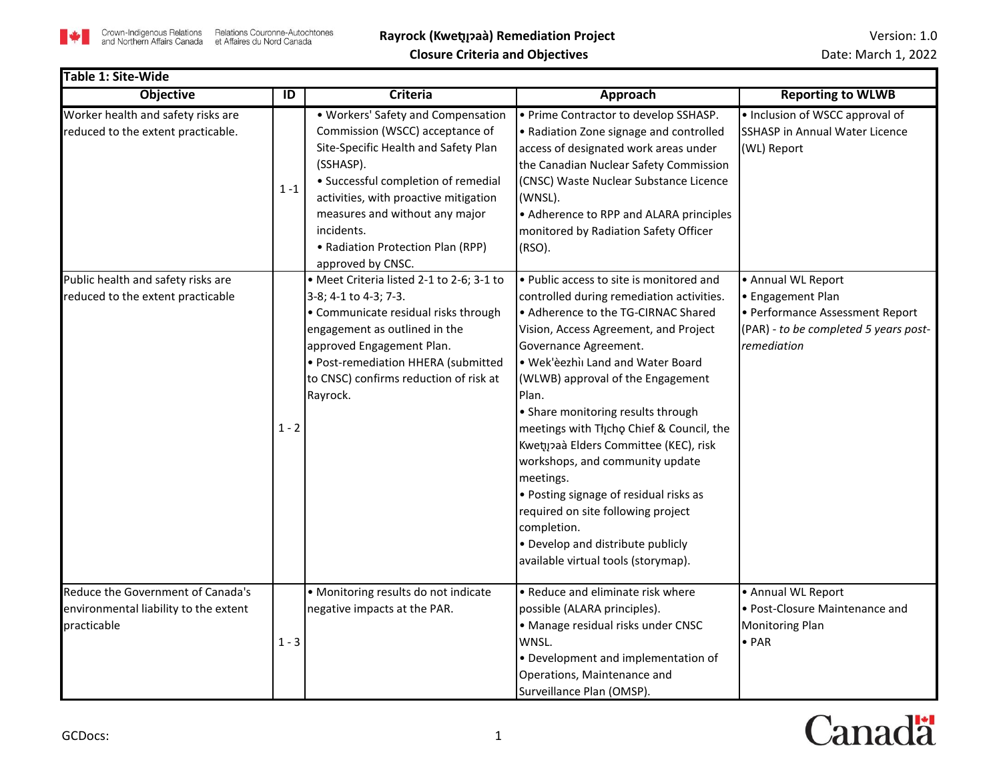

۰

| Table 1: Site-Wide                                                                        |                |                                                                                                                                                                                                                                                                                                                      |                                                                                                                                                                                                                                                                                                                                                                                                                                                                                                                                                                                              |                                                                                                              |
|-------------------------------------------------------------------------------------------|----------------|----------------------------------------------------------------------------------------------------------------------------------------------------------------------------------------------------------------------------------------------------------------------------------------------------------------------|----------------------------------------------------------------------------------------------------------------------------------------------------------------------------------------------------------------------------------------------------------------------------------------------------------------------------------------------------------------------------------------------------------------------------------------------------------------------------------------------------------------------------------------------------------------------------------------------|--------------------------------------------------------------------------------------------------------------|
| <b>Objective</b>                                                                          | $\overline{1}$ | <b>Criteria</b>                                                                                                                                                                                                                                                                                                      | Approach                                                                                                                                                                                                                                                                                                                                                                                                                                                                                                                                                                                     | <b>Reporting to WLWB</b>                                                                                     |
| Worker health and safety risks are<br>reduced to the extent practicable.                  | $1 - 1$        | • Workers' Safety and Compensation<br>Commission (WSCC) acceptance of<br>Site-Specific Health and Safety Plan<br>(SSHASP).<br>• Successful completion of remedial<br>activities, with proactive mitigation<br>measures and without any major<br>incidents.<br>• Radiation Protection Plan (RPP)<br>approved by CNSC. | • Prime Contractor to develop SSHASP.<br>• Radiation Zone signage and controlled<br>access of designated work areas under<br>the Canadian Nuclear Safety Commission<br>(CNSC) Waste Nuclear Substance Licence<br>(WNSL).<br>• Adherence to RPP and ALARA principles<br>monitored by Radiation Safety Officer<br>$(RSO)$ .                                                                                                                                                                                                                                                                    | • Inclusion of WSCC approval of<br><b>SSHASP in Annual Water Licence</b><br>(WL) Report                      |
| Public health and safety risks are                                                        |                | · Meet Criteria listed 2-1 to 2-6; 3-1 to                                                                                                                                                                                                                                                                            | • Public access to site is monitored and                                                                                                                                                                                                                                                                                                                                                                                                                                                                                                                                                     | • Annual WL Report                                                                                           |
| reduced to the extent practicable                                                         | $1 - 2$        | 3-8; 4-1 to 4-3; 7-3.<br>• Communicate residual risks through<br>engagement as outlined in the<br>approved Engagement Plan.<br>• Post-remediation HHERA (submitted<br>to CNSC) confirms reduction of risk at<br>Rayrock.                                                                                             | controlled during remediation activities.<br>• Adherence to the TG-CIRNAC Shared<br>Vision, Access Agreement, and Project<br>Governance Agreement.<br>. Wek'èezhìi Land and Water Board<br>(WLWB) approval of the Engagement<br>Plan.<br>• Share monitoring results through<br>meetings with Thcho Chief & Council, the<br>Kwetų paà Elders Committee (KEC), risk<br>workshops, and community update<br>meetings.<br>• Posting signage of residual risks as<br>required on site following project<br>completion.<br>• Develop and distribute publicly<br>available virtual tools (storymap). | • Engagement Plan<br>• Performance Assessment Report<br>(PAR) - to be completed 5 years post-<br>remediation |
| Reduce the Government of Canada's<br>environmental liability to the extent<br>practicable | $1 - 3$        | • Monitoring results do not indicate<br>negative impacts at the PAR.                                                                                                                                                                                                                                                 | • Reduce and eliminate risk where<br>possible (ALARA principles).<br>· Manage residual risks under CNSC<br>WNSL.<br>• Development and implementation of<br>Operations, Maintenance and<br>Surveillance Plan (OMSP).                                                                                                                                                                                                                                                                                                                                                                          | • Annual WL Report<br>• Post-Closure Maintenance and<br><b>Monitoring Plan</b><br>$\bullet$ PAR              |

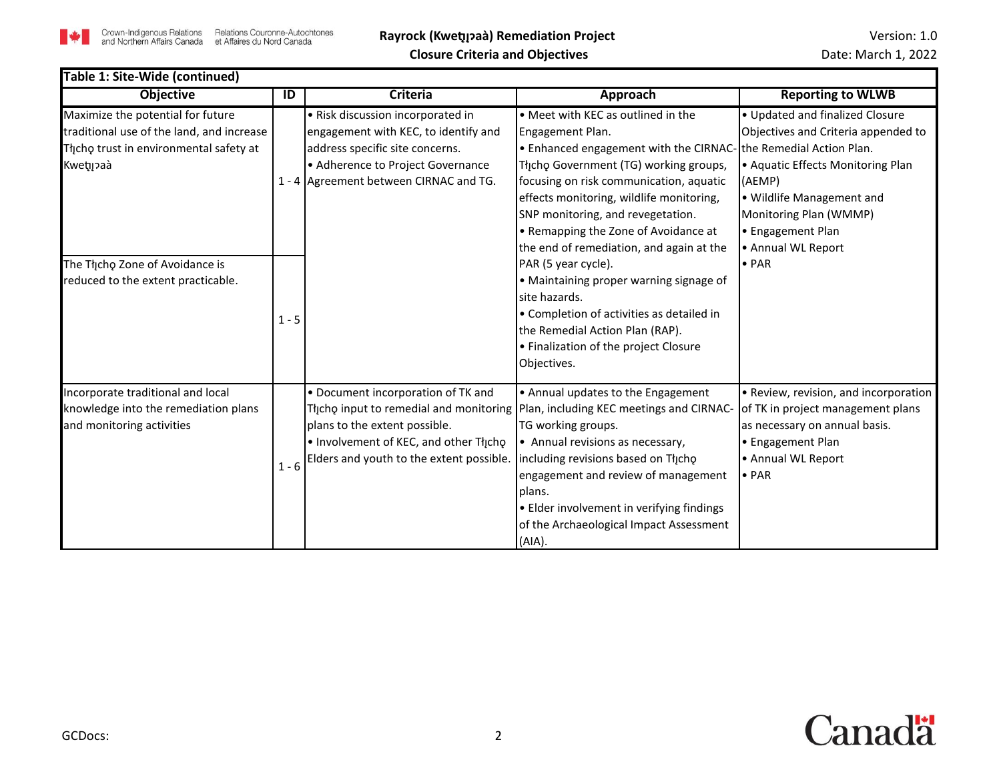

| Table 1: Site-Wide (continued)                                                                                                        |         |                                                                                                                                                                                                |                                                                                                                                                                                                                                                                                                                                                                                      |                                                                                                                                                                                                                         |  |
|---------------------------------------------------------------------------------------------------------------------------------------|---------|------------------------------------------------------------------------------------------------------------------------------------------------------------------------------------------------|--------------------------------------------------------------------------------------------------------------------------------------------------------------------------------------------------------------------------------------------------------------------------------------------------------------------------------------------------------------------------------------|-------------------------------------------------------------------------------------------------------------------------------------------------------------------------------------------------------------------------|--|
| <b>Objective</b>                                                                                                                      | ID      | <b>Criteria</b>                                                                                                                                                                                | Approach                                                                                                                                                                                                                                                                                                                                                                             | <b>Reporting to WLWB</b>                                                                                                                                                                                                |  |
| Maximize the potential for future<br>traditional use of the land, and increase<br>Thcho trust in environmental safety at<br>Kwetijaaà |         | • Risk discussion incorporated in<br>engagement with KEC, to identify and<br>address specific site concerns.<br>• Adherence to Project Governance<br>1 - 4 Agreement between CIRNAC and TG.    | • Meet with KEC as outlined in the<br>Engagement Plan.<br>. Enhanced engagement with the CIRNAC- the Remedial Action Plan.<br>Thicho Government (TG) working groups,<br>focusing on risk communication, aquatic<br>effects monitoring, wildlife monitoring,<br>SNP monitoring, and revegetation.<br>• Remapping the Zone of Avoidance at<br>the end of remediation, and again at the | • Updated and finalized Closure<br>Objectives and Criteria appended to<br>• Aquatic Effects Monitoring Plan<br>(AEMP)<br>• Wildlife Management and<br>Monitoring Plan (WMMP)<br>• Engagement Plan<br>• Annual WL Report |  |
| The Tłįcho Zone of Avoidance is<br>reduced to the extent practicable.                                                                 | $1 - 5$ |                                                                                                                                                                                                | PAR (5 year cycle).<br>• Maintaining proper warning signage of<br>site hazards.<br>• Completion of activities as detailed in<br>the Remedial Action Plan (RAP).<br>• Finalization of the project Closure<br>Objectives.                                                                                                                                                              | $\bullet$ PAR                                                                                                                                                                                                           |  |
| Incorporate traditional and local<br>knowledge into the remediation plans<br>and monitoring activities                                | $1 - 6$ | • Document incorporation of TK and<br>plans to the extent possible.<br>. Involvement of KEC, and other Tłycho<br>Elders and youth to the extent possible.   including revisions based on Thcho | • Annual updates to the Engagement<br>Thicho input to remedial and monitoring   Plan, including KEC meetings and CIRNAC<br>TG working groups.<br>• Annual revisions as necessary,<br>engagement and review of management<br>plans.<br>• Elder involvement in verifying findings<br>of the Archaeological Impact Assessment<br>(AIA).                                                 | • Review, revision, and incorporation<br>of TK in project management plans<br>as necessary on annual basis.<br>• Engagement Plan<br>• Annual WL Report<br>$\bullet$ PAR                                                 |  |

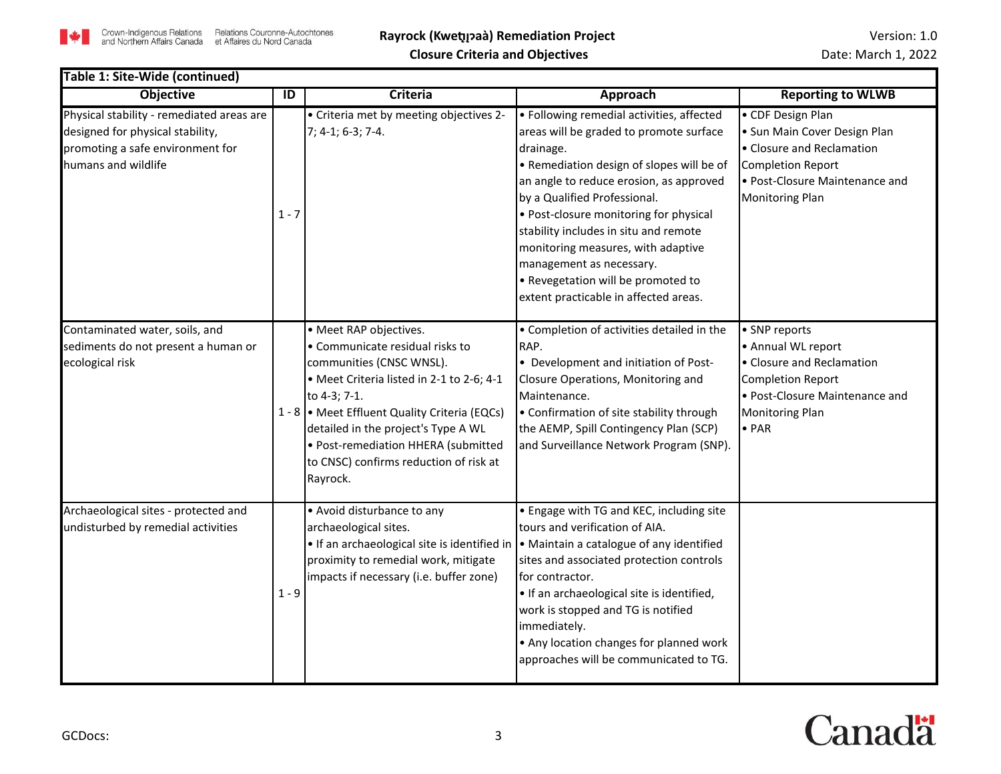

#### **Objective ID Criteria Approach Reporting to WLWB** Physical stability - remediated areas are designed for physical stability, promoting a safe environment for humans and wildlife  $1 - 7$ • Criteria met by meeting objectives 2- 7; 4-1; 6-3; 7-4. • Following remedial activities, affected areas will be graded to promote surface drainage. • Remediation design of slopes will be of an angle to reduce erosion, as approved by a Qualified Professional. • Post-closure monitoring for physical stability includes in situ and remote monitoring measures, with adaptive management as necessary. • Revegetation will be promoted to extent practicable in affected areas. • CDF Design Plan • Sun Main Cover Design Plan • Closure and Reclamation Completion Report • Post-Closure Maintenance and Monitoring Plan Contaminated water, soils, and sediments do not present a human or ecological risk 1 - 8 • Meet Effluent Quality Criteria (EQCs) • Meet RAP objectives. • Communicate residual risks to communities (CNSC WNSL). • Meet Criteria listed in 2-1 to 2-6; 4-1 to 4-3; 7-1. detailed in the project's Type A WL • Post-remediation HHERA (submitted to CNSC) confirms reduction of risk at Rayrock. • Completion of activities detailed in the RAP. • Development and initiation of Post-Closure Operations, Monitoring and Maintenance. • Confirmation of site stability through the AEMP, Spill Contingency Plan (SCP) and Surveillance Network Program (SNP). • SNP reports • Annual WL report • Closure and Reclamation Completion Report • Post-Closure Maintenance and Monitoring Plan • PAR Archaeological sites - protected and undisturbed by remedial activities 1 - 9 • Avoid disturbance to any archaeological sites. • If an archaeological site is identified in |• Maintain a catalogue of any identified proximity to remedial work, mitigate impacts if necessary (i.e. buffer zone) • Engage with TG and KEC, including site tours and verification of AIA. sites and associated protection controls for contractor. • If an archaeological site is identified, work is stopped and TG is notified immediately. • Any location changes for planned work approaches will be communicated to TG. **Table 1: Site-Wide (continued)**

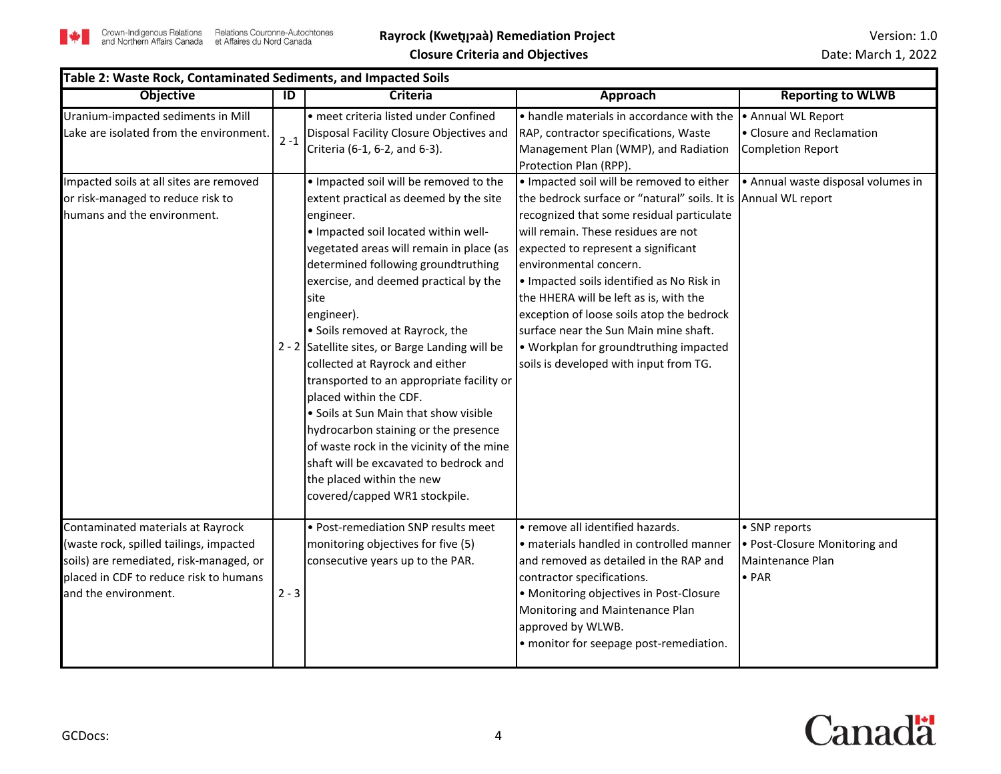

| Table 2: Waste Rock, Contaminated Sediments, and Impacted Soils                                                                                                                           |                |                                                                                                                                                                                                                                                                                                                                                                                                                                                                                                                                                                                                                                                                                                                               |                                                                                                                                                                                                                                                                                                                                                                                                                                                                                                                                   |                                                                                     |
|-------------------------------------------------------------------------------------------------------------------------------------------------------------------------------------------|----------------|-------------------------------------------------------------------------------------------------------------------------------------------------------------------------------------------------------------------------------------------------------------------------------------------------------------------------------------------------------------------------------------------------------------------------------------------------------------------------------------------------------------------------------------------------------------------------------------------------------------------------------------------------------------------------------------------------------------------------------|-----------------------------------------------------------------------------------------------------------------------------------------------------------------------------------------------------------------------------------------------------------------------------------------------------------------------------------------------------------------------------------------------------------------------------------------------------------------------------------------------------------------------------------|-------------------------------------------------------------------------------------|
| <b>Objective</b>                                                                                                                                                                          | $\overline{D}$ | <b>Criteria</b>                                                                                                                                                                                                                                                                                                                                                                                                                                                                                                                                                                                                                                                                                                               | <b>Approach</b>                                                                                                                                                                                                                                                                                                                                                                                                                                                                                                                   | <b>Reporting to WLWB</b>                                                            |
| Uranium-impacted sediments in Mill<br>Lake are isolated from the environment.                                                                                                             | $2 - 1$        | · meet criteria listed under Confined<br>Disposal Facility Closure Objectives and<br>Criteria (6-1, 6-2, and 6-3).                                                                                                                                                                                                                                                                                                                                                                                                                                                                                                                                                                                                            | . handle materials in accordance with the<br>RAP, contractor specifications, Waste<br>Management Plan (WMP), and Radiation<br>Protection Plan (RPP).                                                                                                                                                                                                                                                                                                                                                                              | • Annual WL Report<br>• Closure and Reclamation<br><b>Completion Report</b>         |
| Impacted soils at all sites are removed<br>or risk-managed to reduce risk to<br>humans and the environment.                                                                               |                | . Impacted soil will be removed to the<br>extent practical as deemed by the site<br>engineer.<br>. Impacted soil located within well-<br>vegetated areas will remain in place (as<br>determined following groundtruthing<br>exercise, and deemed practical by the<br>site<br>engineer).<br>• Soils removed at Rayrock, the<br>2 - 2 Satellite sites, or Barge Landing will be<br>collected at Rayrock and either<br>transported to an appropriate facility or<br>placed within the CDF.<br>• Soils at Sun Main that show visible<br>hydrocarbon staining or the presence<br>of waste rock in the vicinity of the mine<br>shaft will be excavated to bedrock and<br>the placed within the new<br>covered/capped WR1 stockpile. | . Impacted soil will be removed to either<br>the bedrock surface or "natural" soils. It is Annual WL report<br>recognized that some residual particulate<br>will remain. These residues are not<br>expected to represent a significant<br>environmental concern.<br>. Impacted soils identified as No Risk in<br>the HHERA will be left as is, with the<br>exception of loose soils atop the bedrock<br>surface near the Sun Main mine shaft.<br>• Workplan for groundtruthing impacted<br>soils is developed with input from TG. | • Annual waste disposal volumes in                                                  |
| Contaminated materials at Rayrock<br>(waste rock, spilled tailings, impacted<br>soils) are remediated, risk-managed, or<br>placed in CDF to reduce risk to humans<br>and the environment. | $2 - 3$        | • Post-remediation SNP results meet<br>monitoring objectives for five (5)<br>consecutive years up to the PAR.                                                                                                                                                                                                                                                                                                                                                                                                                                                                                                                                                                                                                 | • remove all identified hazards.<br>· materials handled in controlled manner<br>and removed as detailed in the RAP and<br>contractor specifications.<br>• Monitoring objectives in Post-Closure<br>Monitoring and Maintenance Plan<br>approved by WLWB.<br>• monitor for seepage post-remediation.                                                                                                                                                                                                                                | • SNP reports<br>• Post-Closure Monitoring and<br>Maintenance Plan<br>$\bullet$ PAR |

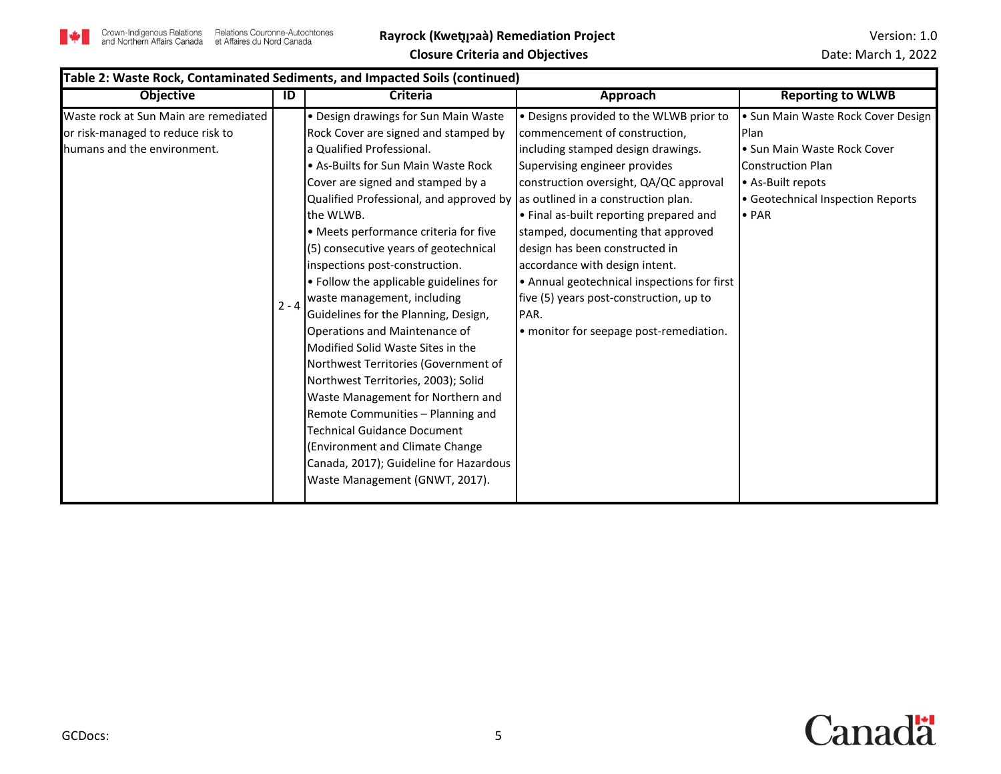

| <b>Approach</b><br><b>Reporting to WLWB</b><br><b>Objective</b><br>Criteria<br>ID<br>Waste rock at Sun Main are remediated<br>• Design drawings for Sun Main Waste<br>• Designs provided to the WLWB prior to<br>or risk-managed to reduce risk to<br>Rock Cover are signed and stamped by<br>commencement of construction,<br>Plan<br>humans and the environment.<br>la Qualified Professional.<br>including stamped design drawings.<br>• Sun Main Waste Rock Cover<br>• As-Builts for Sun Main Waste Rock<br>Supervising engineer provides<br><b>Construction Plan</b><br>Cover are signed and stamped by a<br>• As-Built repots<br>construction oversight, QA/QC approval<br>Qualified Professional, and approved by as outlined in a construction plan.<br>• Geotechnical Inspection Reports<br>the WLWB.<br>• Final as-built reporting prepared and<br>$\bullet$ PAR<br>• Meets performance criteria for five<br>stamped, documenting that approved<br>design has been constructed in<br>(5) consecutive years of geotechnical<br>accordance with design intent.<br>inspections post-construction.<br>• Follow the applicable guidelines for<br>• Annual geotechnical inspections for first<br>waste management, including<br>five (5) years post-construction, up to<br>$2 - 4$<br>Guidelines for the Planning, Design,<br>PAR.<br>Operations and Maintenance of<br>• monitor for seepage post-remediation.<br>Modified Solid Waste Sites in the<br>Northwest Territories (Government of<br>Northwest Territories, 2003); Solid | Table 2: Waste Rock, Contaminated Sediments, and Impacted Soils (continued) |  |                                   |  |                                    |  |
|----------------------------------------------------------------------------------------------------------------------------------------------------------------------------------------------------------------------------------------------------------------------------------------------------------------------------------------------------------------------------------------------------------------------------------------------------------------------------------------------------------------------------------------------------------------------------------------------------------------------------------------------------------------------------------------------------------------------------------------------------------------------------------------------------------------------------------------------------------------------------------------------------------------------------------------------------------------------------------------------------------------------------------------------------------------------------------------------------------------------------------------------------------------------------------------------------------------------------------------------------------------------------------------------------------------------------------------------------------------------------------------------------------------------------------------------------------------------------------------------------------------------------------------|-----------------------------------------------------------------------------|--|-----------------------------------|--|------------------------------------|--|
|                                                                                                                                                                                                                                                                                                                                                                                                                                                                                                                                                                                                                                                                                                                                                                                                                                                                                                                                                                                                                                                                                                                                                                                                                                                                                                                                                                                                                                                                                                                                        |                                                                             |  |                                   |  |                                    |  |
| Remote Communities - Planning and<br>Technical Guidance Document<br>(Environment and Climate Change<br>Canada, 2017); Guideline for Hazardous                                                                                                                                                                                                                                                                                                                                                                                                                                                                                                                                                                                                                                                                                                                                                                                                                                                                                                                                                                                                                                                                                                                                                                                                                                                                                                                                                                                          |                                                                             |  | Waste Management for Northern and |  | • Sun Main Waste Rock Cover Design |  |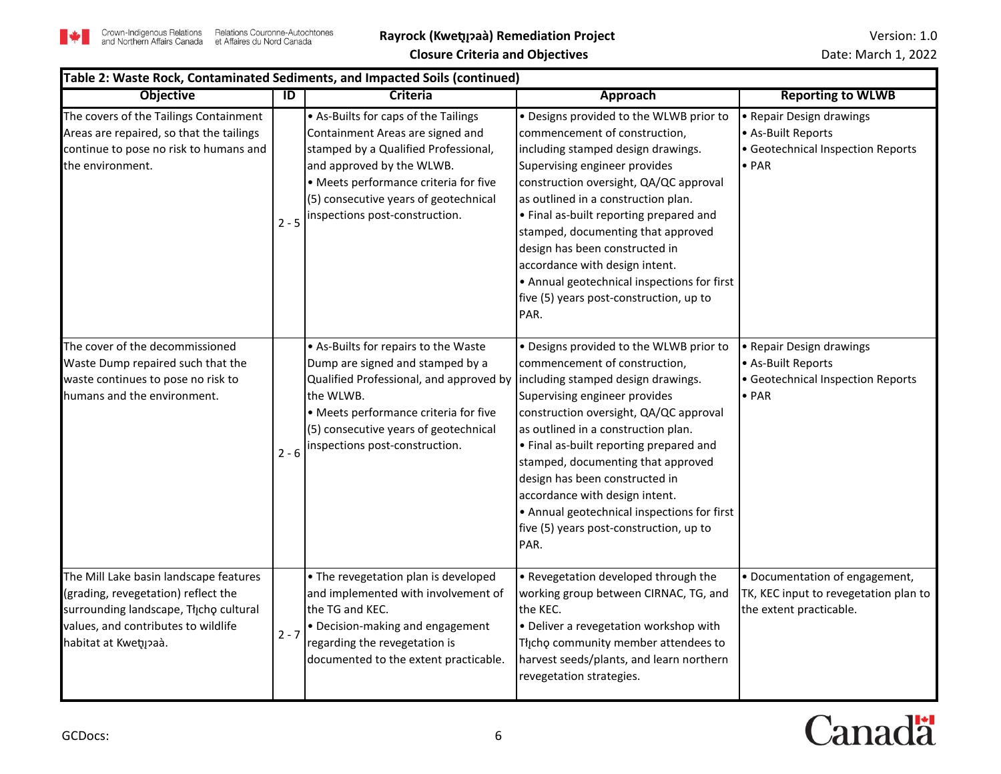|                                                                                                                                                                                         |         | Table 2: Waste Rock, Contaminated Sediments, and Impacted Soils (continued)                                                                                                                                                                                                              |                                                                                                                                                                                                                                                                                                                                                                                                                                                                                         |                                                                                                      |
|-----------------------------------------------------------------------------------------------------------------------------------------------------------------------------------------|---------|------------------------------------------------------------------------------------------------------------------------------------------------------------------------------------------------------------------------------------------------------------------------------------------|-----------------------------------------------------------------------------------------------------------------------------------------------------------------------------------------------------------------------------------------------------------------------------------------------------------------------------------------------------------------------------------------------------------------------------------------------------------------------------------------|------------------------------------------------------------------------------------------------------|
| <b>Objective</b>                                                                                                                                                                        | ID      | Criteria                                                                                                                                                                                                                                                                                 | <b>Approach</b>                                                                                                                                                                                                                                                                                                                                                                                                                                                                         | <b>Reporting to WLWB</b>                                                                             |
| The covers of the Tailings Containment<br>Areas are repaired, so that the tailings<br>continue to pose no risk to humans and<br>the environment.                                        | $2 - 5$ | • As-Builts for caps of the Tailings<br>Containment Areas are signed and<br>stamped by a Qualified Professional,<br>and approved by the WLWB.<br>• Meets performance criteria for five<br>(5) consecutive years of geotechnical<br>inspections post-construction.                        | . Designs provided to the WLWB prior to<br>commencement of construction,<br>including stamped design drawings.<br>Supervising engineer provides<br>construction oversight, QA/QC approval<br>as outlined in a construction plan.<br>• Final as-built reporting prepared and<br>stamped, documenting that approved<br>design has been constructed in<br>accordance with design intent.<br>• Annual geotechnical inspections for first<br>five (5) years post-construction, up to<br>PAR. | • Repair Design drawings<br>• As-Built Reports<br>• Geotechnical Inspection Reports<br>$\bullet$ PAR |
| The cover of the decommissioned<br>Waste Dump repaired such that the<br>waste continues to pose no risk to<br>humans and the environment.                                               | $2 - 6$ | • As-Builts for repairs to the Waste<br>Dump are signed and stamped by a<br>Qualified Professional, and approved by lincluding stamped design drawings.<br>the WLWB.<br>• Meets performance criteria for five<br>(5) consecutive years of geotechnical<br>inspections post-construction. | . Designs provided to the WLWB prior to<br>commencement of construction,<br>Supervising engineer provides<br>construction oversight, QA/QC approval<br>as outlined in a construction plan.<br>• Final as-built reporting prepared and<br>stamped, documenting that approved<br>design has been constructed in<br>accordance with design intent.<br>• Annual geotechnical inspections for first<br>five (5) years post-construction, up to<br>PAR.                                       | • Repair Design drawings<br>• As-Built Reports<br>• Geotechnical Inspection Reports<br>$\bullet$ PAR |
| The Mill Lake basin landscape features<br>(grading, revegetation) reflect the<br>surrounding landscape, Tłįchę cultural<br>values, and contributes to wildlife<br>habitat at Kwetų paà. | $2 - 7$ | • The revegetation plan is developed<br>and implemented with involvement of<br>the TG and KEC.<br>• Decision-making and engagement<br>regarding the revegetation is<br>documented to the extent practicable.                                                                             | • Revegetation developed through the<br>working group between CIRNAC, TG, and<br>the KEC.<br>• Deliver a revegetation workshop with<br>Thcho community member attendees to<br>harvest seeds/plants, and learn northern<br>revegetation strategies.                                                                                                                                                                                                                                      | • Documentation of engagement,<br>TK, KEC input to revegetation plan to<br>the extent practicable.   |

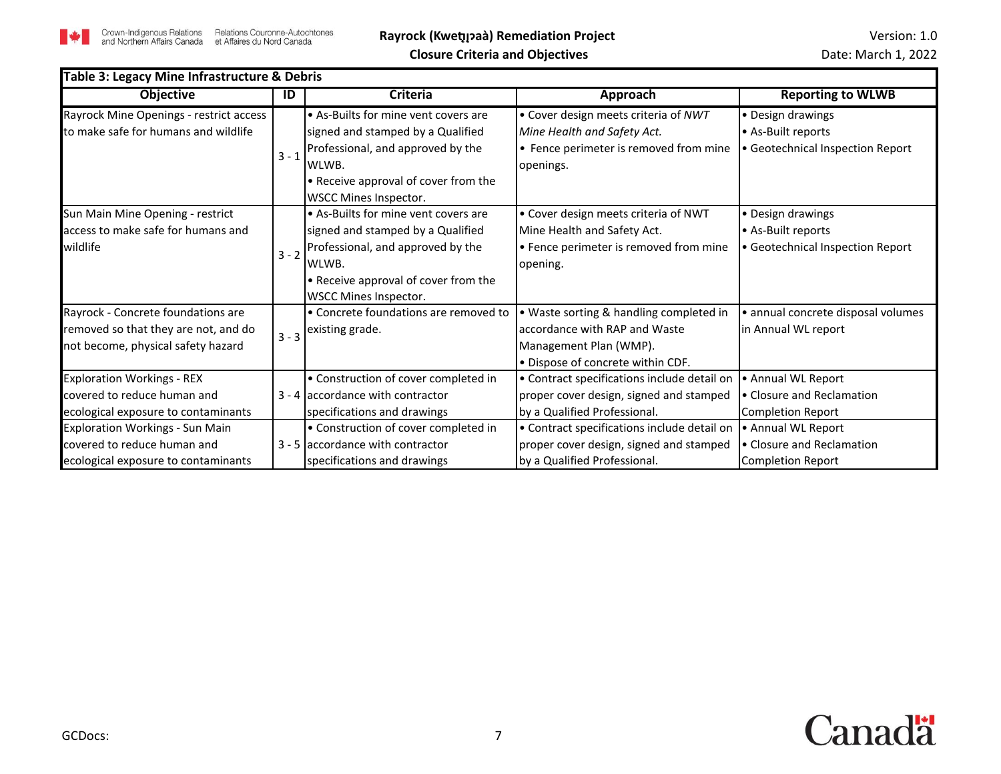

| Table 3: Legacy Mine Infrastructure & Debris |         |                                                                    |                                             |                                    |
|----------------------------------------------|---------|--------------------------------------------------------------------|---------------------------------------------|------------------------------------|
| <b>Objective</b>                             | ID      | <b>Criteria</b>                                                    | Approach                                    | <b>Reporting to WLWB</b>           |
| Rayrock Mine Openings - restrict access      |         | • As-Builts for mine vent covers are                               | • Cover design meets criteria of NWT        | • Design drawings                  |
| to make safe for humans and wildlife         |         | signed and stamped by a Qualified                                  | Mine Health and Safety Act.                 | • As-Built reports                 |
|                                              | $3 - 1$ | Professional, and approved by the                                  | • Fence perimeter is removed from mine      | • Geotechnical Inspection Report   |
|                                              |         | WLWB.                                                              | openings.                                   |                                    |
|                                              |         | • Receive approval of cover from the                               |                                             |                                    |
|                                              |         | WSCC Mines Inspector.                                              |                                             |                                    |
| Sun Main Mine Opening - restrict             |         | • As-Builts for mine vent covers are                               | • Cover design meets criteria of NWT        | • Design drawings                  |
| access to make safe for humans and           |         | signed and stamped by a Qualified                                  | Mine Health and Safety Act.                 | • As-Built reports                 |
| wildlife                                     |         | $\left  \frac{1}{3} \right $ - 2 Professional, and approved by the | • Fence perimeter is removed from mine      | · Geotechnical Inspection Report   |
|                                              |         | WLWB.                                                              | opening.                                    |                                    |
|                                              |         | • Receive approval of cover from the                               |                                             |                                    |
|                                              |         | WSCC Mines Inspector.                                              |                                             |                                    |
| Rayrock - Concrete foundations are           |         | • Concrete foundations are removed to                              | • Waste sorting & handling completed in     | · annual concrete disposal volumes |
| removed so that they are not, and do         |         | $\binom{1}{3-3}$ existing grade.                                   | accordance with RAP and Waste               | in Annual WL report                |
| not become, physical safety hazard           |         |                                                                    | Management Plan (WMP).                      |                                    |
|                                              |         |                                                                    | . Dispose of concrete within CDF.           |                                    |
| <b>Exploration Workings - REX</b>            |         | • Construction of cover completed in                               | • Contract specifications include detail on | • Annual WL Report                 |
| covered to reduce human and                  |         | $3 - 4$ accordance with contractor                                 | proper cover design, signed and stamped     | • Closure and Reclamation          |
| ecological exposure to contaminants          |         | specifications and drawings                                        | by a Qualified Professional.                | <b>Completion Report</b>           |
| <b>Exploration Workings - Sun Main</b>       |         | • Construction of cover completed in                               | • Contract specifications include detail on | • Annual WL Report                 |
| covered to reduce human and                  |         | 3 - 5 accordance with contractor                                   | proper cover design, signed and stamped     | • Closure and Reclamation          |
| ecological exposure to contaminants          |         | specifications and drawings                                        | by a Qualified Professional.                | <b>Completion Report</b>           |

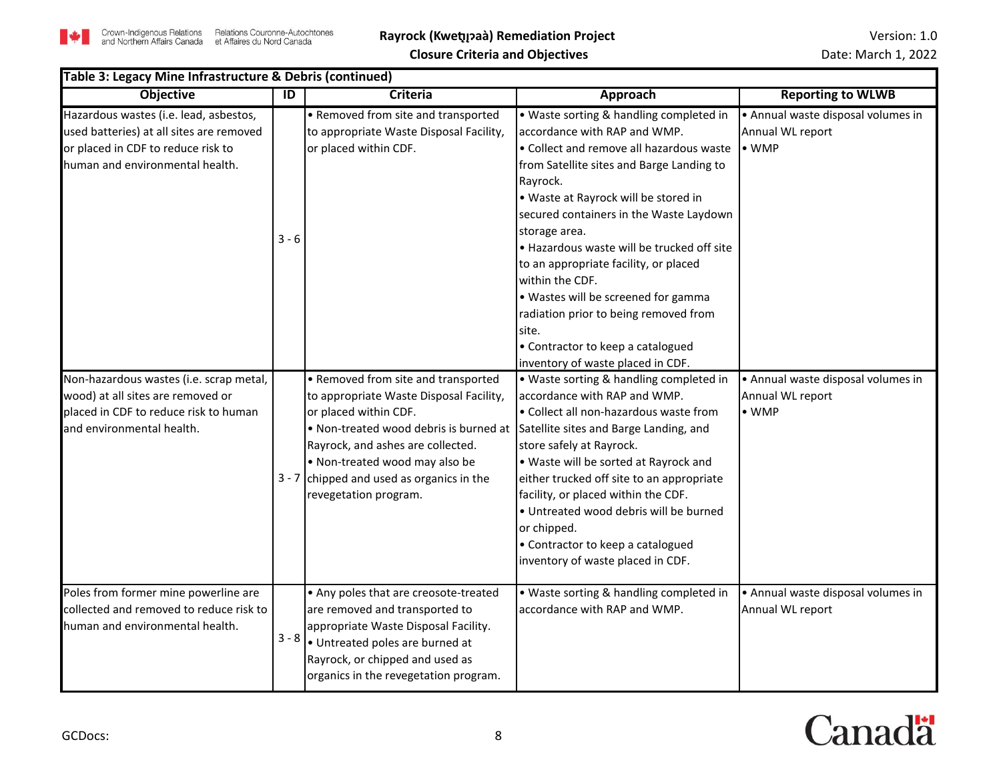

|                                                                                                                                                             | Table 3: Legacy Mine Infrastructure & Debris (continued) |                                                                                                                                                                                                                                                                                                                                         |                                                                                                                                                                                                                                                                                                                                                                                                                                                                                                                                                               |                                                                         |  |  |
|-------------------------------------------------------------------------------------------------------------------------------------------------------------|----------------------------------------------------------|-----------------------------------------------------------------------------------------------------------------------------------------------------------------------------------------------------------------------------------------------------------------------------------------------------------------------------------------|---------------------------------------------------------------------------------------------------------------------------------------------------------------------------------------------------------------------------------------------------------------------------------------------------------------------------------------------------------------------------------------------------------------------------------------------------------------------------------------------------------------------------------------------------------------|-------------------------------------------------------------------------|--|--|
| <b>Objective</b>                                                                                                                                            | ID                                                       | <b>Criteria</b>                                                                                                                                                                                                                                                                                                                         | <b>Approach</b>                                                                                                                                                                                                                                                                                                                                                                                                                                                                                                                                               | <b>Reporting to WLWB</b>                                                |  |  |
| Hazardous wastes (i.e. lead, asbestos,<br>used batteries) at all sites are removed<br>or placed in CDF to reduce risk to<br>human and environmental health. | $3 - 6$                                                  | • Removed from site and transported<br>to appropriate Waste Disposal Facility,<br>or placed within CDF.                                                                                                                                                                                                                                 | • Waste sorting & handling completed in<br>accordance with RAP and WMP.<br>• Collect and remove all hazardous waste<br>from Satellite sites and Barge Landing to<br>Rayrock.<br>. Waste at Rayrock will be stored in<br>secured containers in the Waste Laydown<br>storage area.<br>. Hazardous waste will be trucked off site<br>to an appropriate facility, or placed<br>within the CDF.<br>. Wastes will be screened for gamma<br>radiation prior to being removed from<br>site.<br>• Contractor to keep a catalogued<br>inventory of waste placed in CDF. | • Annual waste disposal volumes in<br>Annual WL report<br>$\bullet$ WMP |  |  |
| Non-hazardous wastes (i.e. scrap metal,<br>wood) at all sites are removed or<br>placed in CDF to reduce risk to human<br>and environmental health.          |                                                          | • Removed from site and transported<br>to appropriate Waste Disposal Facility,<br>or placed within CDF.<br>. Non-treated wood debris is burned at Satellite sites and Barge Landing, and<br>Rayrock, and ashes are collected.<br>. Non-treated wood may also be<br>$3 - 7$ chipped and used as organics in the<br>revegetation program. | • Waste sorting & handling completed in<br>accordance with RAP and WMP.<br>• Collect all non-hazardous waste from<br>store safely at Rayrock.<br>. Waste will be sorted at Rayrock and<br>either trucked off site to an appropriate<br>facility, or placed within the CDF.<br>· Untreated wood debris will be burned<br>or chipped.<br>• Contractor to keep a catalogued<br>inventory of waste placed in CDF.                                                                                                                                                 | • Annual waste disposal volumes in<br>Annual WL report<br>$\bullet$ WMP |  |  |
| Poles from former mine powerline are<br>collected and removed to reduce risk to<br>human and environmental health.                                          | $3 - 8$                                                  | • Any poles that are creosote-treated<br>are removed and transported to<br>appropriate Waste Disposal Facility.<br>· Untreated poles are burned at<br>Rayrock, or chipped and used as<br>organics in the revegetation program.                                                                                                          | • Waste sorting & handling completed in<br>accordance with RAP and WMP.                                                                                                                                                                                                                                                                                                                                                                                                                                                                                       | • Annual waste disposal volumes in<br>Annual WL report                  |  |  |

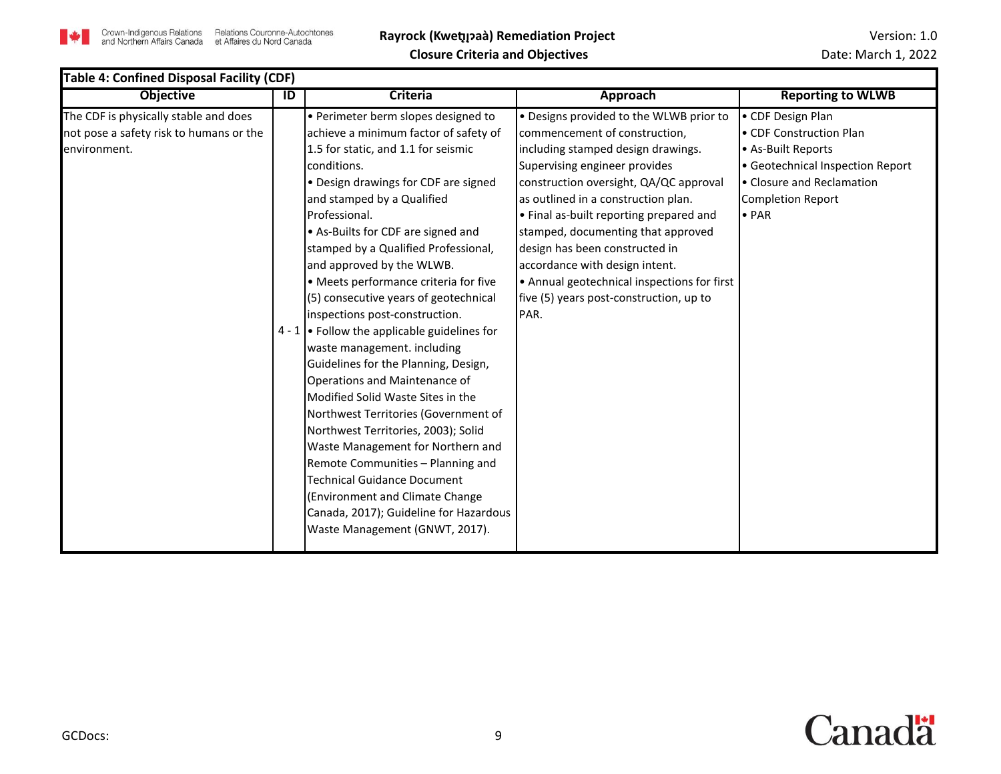

| <b>Table 4: Confined Disposal Facility (CDF)</b>                                                 |    |                                                                                                                                                                                                                                                                                                                                                                                                                                                                                                                                                                                                                                                                                                                                                                                                                                                                                                                                                                      |                                                                                                                                                                                                                                                                                                                                                                                                                                                                                         |                                                                                                                                                                                  |  |
|--------------------------------------------------------------------------------------------------|----|----------------------------------------------------------------------------------------------------------------------------------------------------------------------------------------------------------------------------------------------------------------------------------------------------------------------------------------------------------------------------------------------------------------------------------------------------------------------------------------------------------------------------------------------------------------------------------------------------------------------------------------------------------------------------------------------------------------------------------------------------------------------------------------------------------------------------------------------------------------------------------------------------------------------------------------------------------------------|-----------------------------------------------------------------------------------------------------------------------------------------------------------------------------------------------------------------------------------------------------------------------------------------------------------------------------------------------------------------------------------------------------------------------------------------------------------------------------------------|----------------------------------------------------------------------------------------------------------------------------------------------------------------------------------|--|
| <b>Objective</b>                                                                                 | ID | <b>Criteria</b>                                                                                                                                                                                                                                                                                                                                                                                                                                                                                                                                                                                                                                                                                                                                                                                                                                                                                                                                                      | Approach                                                                                                                                                                                                                                                                                                                                                                                                                                                                                | <b>Reporting to WLWB</b>                                                                                                                                                         |  |
| The CDF is physically stable and does<br>not pose a safety risk to humans or the<br>environment. |    | • Perimeter berm slopes designed to<br>achieve a minimum factor of safety of<br>1.5 for static, and 1.1 for seismic<br>conditions.<br>• Design drawings for CDF are signed<br>and stamped by a Qualified<br>Professional.<br>• As-Builts for CDF are signed and<br>stamped by a Qualified Professional,<br>and approved by the WLWB.<br>• Meets performance criteria for five<br>(5) consecutive years of geotechnical<br>inspections post-construction.<br>4 - 1 $\bullet$ Follow the applicable guidelines for<br>waste management. including<br>Guidelines for the Planning, Design,<br>Operations and Maintenance of<br>Modified Solid Waste Sites in the<br>Northwest Territories (Government of<br>Northwest Territories, 2003); Solid<br>Waste Management for Northern and<br>Remote Communities - Planning and<br>Technical Guidance Document<br>(Environment and Climate Change<br>Canada, 2017); Guideline for Hazardous<br>Waste Management (GNWT, 2017). | • Designs provided to the WLWB prior to<br>commencement of construction,<br>including stamped design drawings.<br>Supervising engineer provides<br>construction oversight, QA/QC approval<br>as outlined in a construction plan.<br>• Final as-built reporting prepared and<br>stamped, documenting that approved<br>design has been constructed in<br>accordance with design intent.<br>• Annual geotechnical inspections for first<br>five (5) years post-construction, up to<br>PAR. | • CDF Design Plan<br>• CDF Construction Plan<br>• As-Built Reports<br>• Geotechnical Inspection Report<br>• Closure and Reclamation<br><b>Completion Report</b><br>$\bullet$ PAR |  |

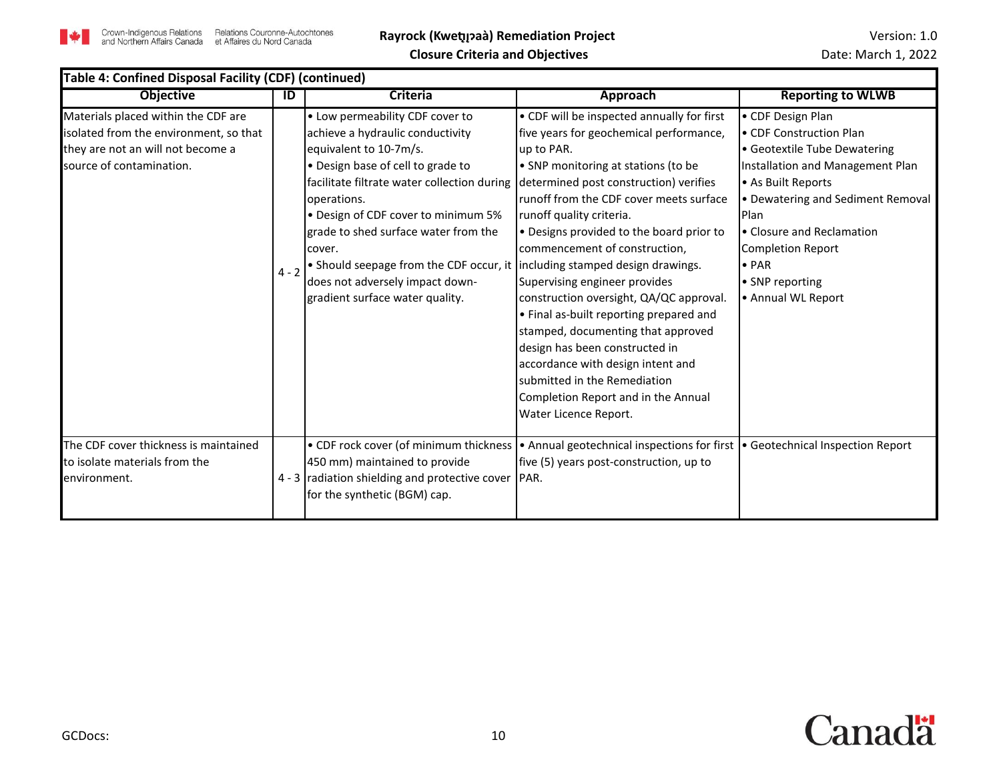

| Table 4: Confined Disposal Facility (CDF) (continued)                                                                                          |         |                                                                                                                                                                                                                                                                                                                                                                                                                                                |                                                                                                                                                                                                                                                                                                                                                                                                                                                                                                                                                                                                                                                                              |                                                                                                                                                                                                                                                                                                        |  |
|------------------------------------------------------------------------------------------------------------------------------------------------|---------|------------------------------------------------------------------------------------------------------------------------------------------------------------------------------------------------------------------------------------------------------------------------------------------------------------------------------------------------------------------------------------------------------------------------------------------------|------------------------------------------------------------------------------------------------------------------------------------------------------------------------------------------------------------------------------------------------------------------------------------------------------------------------------------------------------------------------------------------------------------------------------------------------------------------------------------------------------------------------------------------------------------------------------------------------------------------------------------------------------------------------------|--------------------------------------------------------------------------------------------------------------------------------------------------------------------------------------------------------------------------------------------------------------------------------------------------------|--|
| <b>Objective</b>                                                                                                                               | ID      | <b>Criteria</b>                                                                                                                                                                                                                                                                                                                                                                                                                                | Approach                                                                                                                                                                                                                                                                                                                                                                                                                                                                                                                                                                                                                                                                     | <b>Reporting to WLWB</b>                                                                                                                                                                                                                                                                               |  |
| Materials placed within the CDF are<br>isolated from the environment, so that<br>they are not an will not become a<br>source of contamination. | $4 - 2$ | • Low permeability CDF cover to<br>achieve a hydraulic conductivity<br>equivalent to 10-7m/s.<br>. Design base of cell to grade to<br>facilitate filtrate water collection during<br>operations.<br>• Design of CDF cover to minimum 5%<br>grade to shed surface water from the<br>cover.<br>• Should seepage from the CDF occur, it lincluding stamped design drawings.<br>does not adversely impact down-<br>gradient surface water quality. | • CDF will be inspected annually for first<br>five years for geochemical performance,<br>up to PAR.<br>• SNP monitoring at stations (to be<br>determined post construction) verifies<br>runoff from the CDF cover meets surface<br>runoff quality criteria.<br>• Designs provided to the board prior to<br>commencement of construction,<br>Supervising engineer provides<br>construction oversight, QA/QC approval.<br>• Final as-built reporting prepared and<br>stamped, documenting that approved<br>design has been constructed in<br>accordance with design intent and<br>submitted in the Remediation<br>Completion Report and in the Annual<br>Water Licence Report. | • CDF Design Plan<br>• CDF Construction Plan<br>• Geotextile Tube Dewatering<br>Installation and Management Plan<br>• As Built Reports<br>• Dewatering and Sediment Removal<br>Plan<br>• Closure and Reclamation<br><b>Completion Report</b><br>$\bullet$ PAR<br>• SNP reporting<br>• Annual WL Report |  |
| The CDF cover thickness is maintained<br>to isolate materials from the<br>environment.                                                         |         | • CDF rock cover (of minimum thickness<br>450 mm) maintained to provide<br>4 - 3 radiation shielding and protective cover<br>for the synthetic (BGM) cap.                                                                                                                                                                                                                                                                                      | • Annual geotechnical inspections for first   • Geotechnical Inspection Report<br>five (5) years post-construction, up to<br>PAR.                                                                                                                                                                                                                                                                                                                                                                                                                                                                                                                                            |                                                                                                                                                                                                                                                                                                        |  |

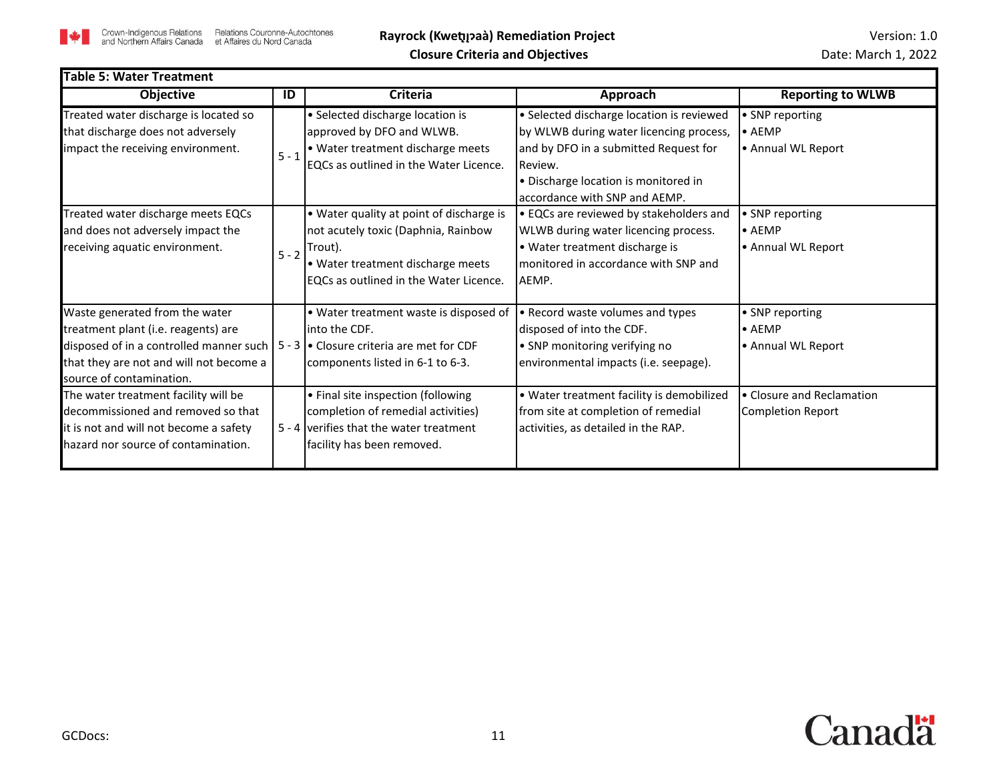

| Table 5: Water Treatment                                                                                                                                                                |         |                                                                                                                                                                                     |                                                                                                                                                                                                                   |                                                         |
|-----------------------------------------------------------------------------------------------------------------------------------------------------------------------------------------|---------|-------------------------------------------------------------------------------------------------------------------------------------------------------------------------------------|-------------------------------------------------------------------------------------------------------------------------------------------------------------------------------------------------------------------|---------------------------------------------------------|
| <b>Objective</b>                                                                                                                                                                        | ID      | <b>Criteria</b>                                                                                                                                                                     | Approach                                                                                                                                                                                                          | <b>Reporting to WLWB</b>                                |
| Treated water discharge is located so<br>that discharge does not adversely<br>impact the receiving environment.                                                                         | $5 - 1$ | • Selected discharge location is<br>approved by DFO and WLWB.<br>• Water treatment discharge meets<br>EQCs as outlined in the Water Licence.                                        | · Selected discharge location is reviewed<br>by WLWB during water licencing process,<br>and by DFO in a submitted Request for<br>Review.<br>• Discharge location is monitored in<br>accordance with SNP and AEMP. | • SNP reporting<br>$\bullet$ AEMP<br>• Annual WL Report |
| Treated water discharge meets EQCs<br>and does not adversely impact the<br>receiving aquatic environment.                                                                               |         | • Water quality at point of discharge is<br>not acutely toxic (Daphnia, Rainbow<br>$I_{5-2}$ Trout).<br>• Water treatment discharge meets<br>EQCs as outlined in the Water Licence. | • EQCs are reviewed by stakeholders and<br>WLWB during water licencing process.<br>• Water treatment discharge is<br>monitored in accordance with SNP and<br>AEMP.                                                | • SNP reporting<br>$\bullet$ AEMP<br>• Annual WL Report |
| Waste generated from the water<br>treatment plant (i.e. reagents) are<br>disposed of in a controlled manner such<br>that they are not and will not become a<br>source of contamination. |         | • Water treatment waste is disposed of<br>into the CDF.<br>$5 - 3$ • Closure criteria are met for CDF<br>components listed in 6-1 to 6-3.                                           | • Record waste volumes and types<br>disposed of into the CDF.<br>• SNP monitoring verifying no<br>environmental impacts (i.e. seepage).                                                                           | • SNP reporting<br>$\bullet$ AEMP<br>• Annual WL Report |
| The water treatment facility will be<br>decommissioned and removed so that<br>it is not and will not become a safety<br>hazard nor source of contamination.                             |         | • Final site inspection (following<br>completion of remedial activities)<br>5 - 4 verifies that the water treatment<br>facility has been removed.                                   | . Water treatment facility is demobilized<br>from site at completion of remedial<br>activities, as detailed in the RAP.                                                                                           | • Closure and Reclamation<br><b>Completion Report</b>   |

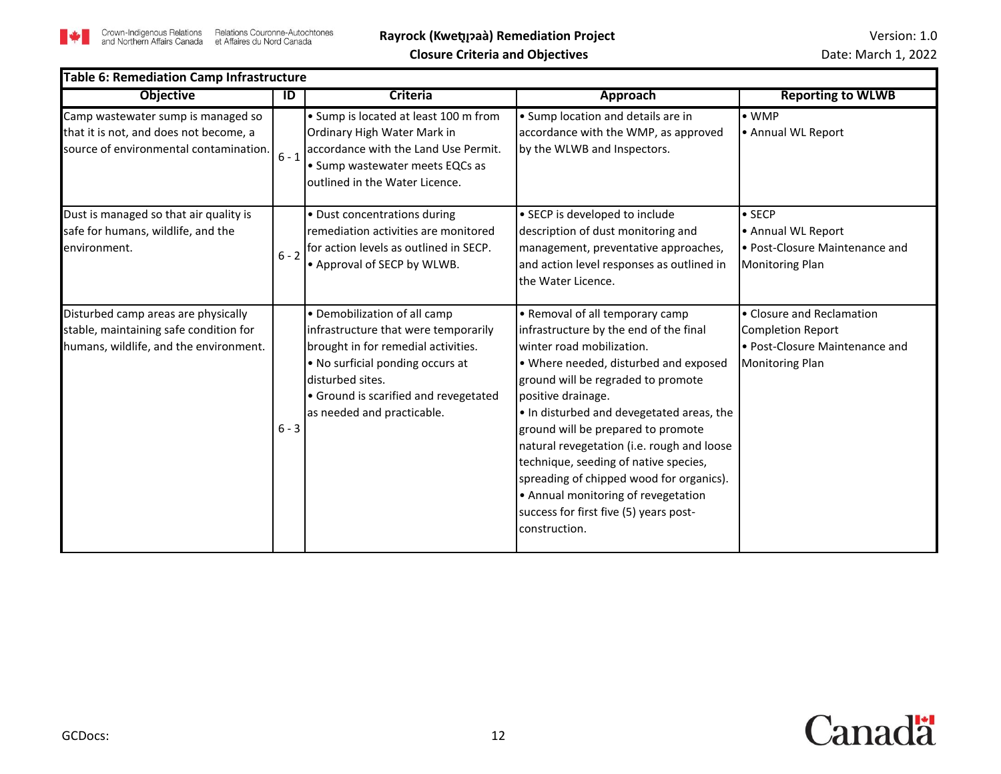

| <b>Table 6: Remediation Camp Infrastructure</b>                                                                         |         |                                                                                                                                                                                                                                            |                                                                                                                                                                                                                                                                                                                                                                                                                                                                                                                                     |                                                                                                                   |  |
|-------------------------------------------------------------------------------------------------------------------------|---------|--------------------------------------------------------------------------------------------------------------------------------------------------------------------------------------------------------------------------------------------|-------------------------------------------------------------------------------------------------------------------------------------------------------------------------------------------------------------------------------------------------------------------------------------------------------------------------------------------------------------------------------------------------------------------------------------------------------------------------------------------------------------------------------------|-------------------------------------------------------------------------------------------------------------------|--|
| <b>Objective</b>                                                                                                        | ID      | <b>Criteria</b>                                                                                                                                                                                                                            | Approach                                                                                                                                                                                                                                                                                                                                                                                                                                                                                                                            | <b>Reporting to WLWB</b>                                                                                          |  |
| Camp wastewater sump is managed so<br>that it is not, and does not become, a<br>source of environmental contamination.  | $6 - 1$ | • Sump is located at least 100 m from<br>Ordinary High Water Mark in<br>accordance with the Land Use Permit.<br>• Sump wastewater meets EQCs as<br>outlined in the Water Licence.                                                          | • Sump location and details are in<br>accordance with the WMP, as approved<br>by the WLWB and Inspectors.                                                                                                                                                                                                                                                                                                                                                                                                                           | $\bullet$ WMP<br>• Annual WL Report                                                                               |  |
| Dust is managed so that air quality is<br>safe for humans, wildlife, and the<br>environment.                            | $6 - 2$ | • Dust concentrations during<br>remediation activities are monitored<br>for action levels as outlined in SECP.<br>• Approval of SECP by WLWB.                                                                                              | • SECP is developed to include<br>description of dust monitoring and<br>management, preventative approaches,<br>and action level responses as outlined in<br>the Water Licence.                                                                                                                                                                                                                                                                                                                                                     | $\bullet$ SECP<br>• Annual WL Report<br>• Post-Closure Maintenance and<br><b>Monitoring Plan</b>                  |  |
| Disturbed camp areas are physically<br>stable, maintaining safe condition for<br>humans, wildlife, and the environment. | $6 - 3$ | • Demobilization of all camp<br>infrastructure that were temporarily<br>brought in for remedial activities.<br>. No surficial ponding occurs at<br>disturbed sites.<br>• Ground is scarified and revegetated<br>as needed and practicable. | • Removal of all temporary camp<br>infrastructure by the end of the final<br>winter road mobilization.<br>• Where needed, disturbed and exposed<br>ground will be regraded to promote<br>positive drainage.<br>. In disturbed and devegetated areas, the<br>ground will be prepared to promote<br>natural revegetation (i.e. rough and loose<br>technique, seeding of native species,<br>spreading of chipped wood for organics).<br>• Annual monitoring of revegetation<br>success for first five (5) years post-<br>construction. | • Closure and Reclamation<br><b>Completion Report</b><br>• Post-Closure Maintenance and<br><b>Monitoring Plan</b> |  |

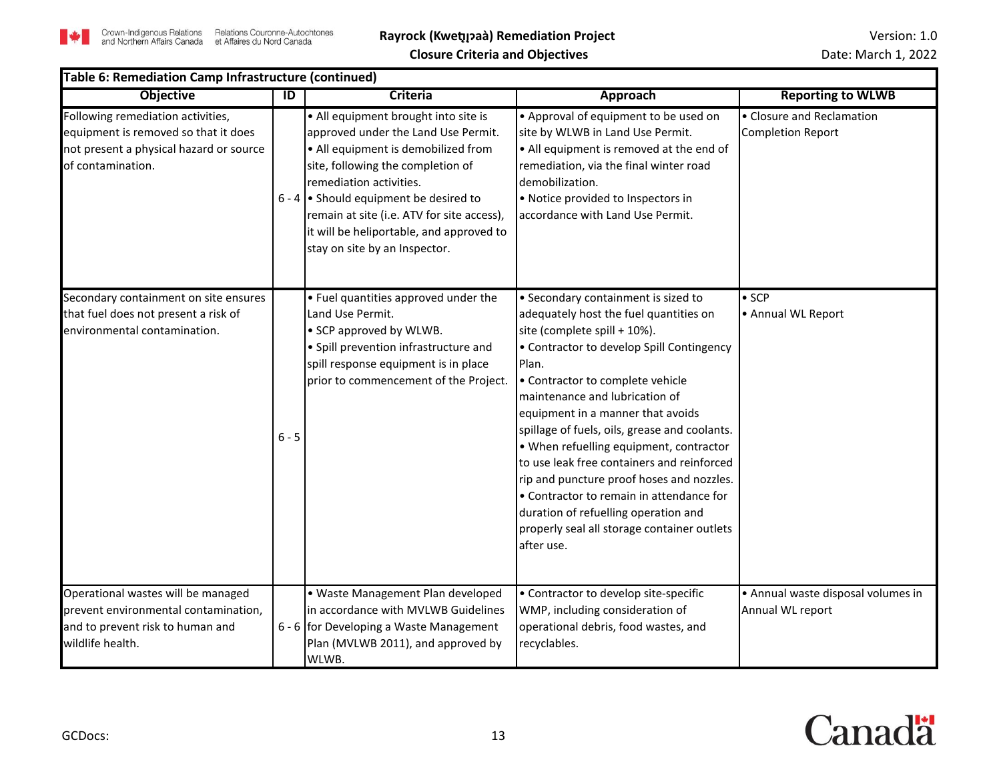| Table 6: Remediation Camp Infrastructure (continued)                                                                                      |                |                                                                                                                                                                                                                                                                                                                                                           |                                                                                                                                                                                                                                                                                                                                                                                                                                                                                                                                                                                                                        |                                                       |
|-------------------------------------------------------------------------------------------------------------------------------------------|----------------|-----------------------------------------------------------------------------------------------------------------------------------------------------------------------------------------------------------------------------------------------------------------------------------------------------------------------------------------------------------|------------------------------------------------------------------------------------------------------------------------------------------------------------------------------------------------------------------------------------------------------------------------------------------------------------------------------------------------------------------------------------------------------------------------------------------------------------------------------------------------------------------------------------------------------------------------------------------------------------------------|-------------------------------------------------------|
| <b>Objective</b>                                                                                                                          | $\overline{D}$ | <b>Criteria</b>                                                                                                                                                                                                                                                                                                                                           | <b>Approach</b>                                                                                                                                                                                                                                                                                                                                                                                                                                                                                                                                                                                                        | <b>Reporting to WLWB</b>                              |
| Following remediation activities,<br>equipment is removed so that it does<br>not present a physical hazard or source<br>of contamination. |                | • All equipment brought into site is<br>approved under the Land Use Permit.<br>• All equipment is demobilized from<br>site, following the completion of<br>remediation activities.<br>$6 - 4$ • Should equipment be desired to<br>remain at site (i.e. ATV for site access),<br>it will be heliportable, and approved to<br>stay on site by an Inspector. | • Approval of equipment to be used on<br>site by WLWB in Land Use Permit.<br>• All equipment is removed at the end of<br>remediation, via the final winter road<br>demobilization.<br>• Notice provided to Inspectors in<br>accordance with Land Use Permit.                                                                                                                                                                                                                                                                                                                                                           | • Closure and Reclamation<br><b>Completion Report</b> |
| Secondary containment on site ensures<br>that fuel does not present a risk of<br>environmental contamination.                             | $6 - 5$        | • Fuel quantities approved under the<br>Land Use Permit.<br>• SCP approved by WLWB.<br>• Spill prevention infrastructure and<br>spill response equipment is in place<br>prior to commencement of the Project.                                                                                                                                             | • Secondary containment is sized to<br>adequately host the fuel quantities on<br>site (complete spill + 10%).<br>• Contractor to develop Spill Contingency<br>Plan.<br>• Contractor to complete vehicle<br>maintenance and lubrication of<br>equipment in a manner that avoids<br>spillage of fuels, oils, grease and coolants.<br>. When refuelling equipment, contractor<br>to use leak free containers and reinforced<br>rip and puncture proof hoses and nozzles.<br>• Contractor to remain in attendance for<br>duration of refuelling operation and<br>properly seal all storage container outlets<br>after use. | $\bullet$ SCP<br>• Annual WL Report                   |
| Operational wastes will be managed                                                                                                        |                | · Waste Management Plan developed                                                                                                                                                                                                                                                                                                                         | • Contractor to develop site-specific                                                                                                                                                                                                                                                                                                                                                                                                                                                                                                                                                                                  | • Annual waste disposal volumes in                    |
| prevent environmental contamination,                                                                                                      |                | in accordance with MVLWB Guidelines                                                                                                                                                                                                                                                                                                                       | WMP, including consideration of                                                                                                                                                                                                                                                                                                                                                                                                                                                                                                                                                                                        | Annual WL report                                      |
| and to prevent risk to human and                                                                                                          |                | 6 - 6 for Developing a Waste Management                                                                                                                                                                                                                                                                                                                   | operational debris, food wastes, and                                                                                                                                                                                                                                                                                                                                                                                                                                                                                                                                                                                   |                                                       |
| wildlife health.                                                                                                                          |                | Plan (MVLWB 2011), and approved by<br>WLWB.                                                                                                                                                                                                                                                                                                               | recyclables.                                                                                                                                                                                                                                                                                                                                                                                                                                                                                                                                                                                                           |                                                       |

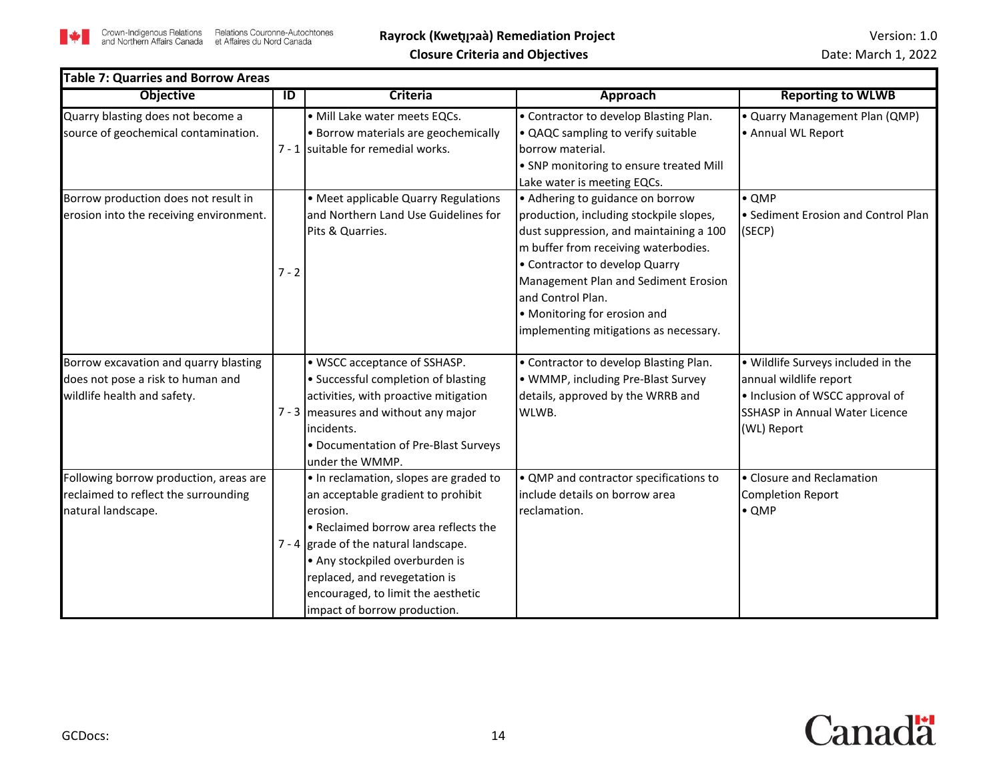

| <b>Table 7: Quarries and Borrow Areas</b><br><b>Objective</b>                                             | $\overline{D}$ | <b>Criteria</b>                                                                                                                                                                                                                                                                                                       | <b>Approach</b>                                                                                                                                                                                                                                                                                                                         | <b>Reporting to WLWB</b>                                                                                                                                |
|-----------------------------------------------------------------------------------------------------------|----------------|-----------------------------------------------------------------------------------------------------------------------------------------------------------------------------------------------------------------------------------------------------------------------------------------------------------------------|-----------------------------------------------------------------------------------------------------------------------------------------------------------------------------------------------------------------------------------------------------------------------------------------------------------------------------------------|---------------------------------------------------------------------------------------------------------------------------------------------------------|
| Quarry blasting does not become a<br>source of geochemical contamination.                                 |                | · Mill Lake water meets EQCs.<br>• Borrow materials are geochemically<br>7 - 1 suitable for remedial works.                                                                                                                                                                                                           | • Contractor to develop Blasting Plan.<br>• QAQC sampling to verify suitable<br>borrow material.<br>• SNP monitoring to ensure treated Mill<br>Lake water is meeting EQCs.                                                                                                                                                              | • Quarry Management Plan (QMP)<br>• Annual WL Report                                                                                                    |
| Borrow production does not result in<br>erosion into the receiving environment.                           | $7 - 2$        | • Meet applicable Quarry Regulations<br>and Northern Land Use Guidelines for<br>Pits & Quarries.                                                                                                                                                                                                                      | • Adhering to guidance on borrow<br>production, including stockpile slopes,<br>dust suppression, and maintaining a 100<br>m buffer from receiving waterbodies.<br>• Contractor to develop Quarry<br>Management Plan and Sediment Erosion<br>and Control Plan.<br>• Monitoring for erosion and<br>implementing mitigations as necessary. | $\bullet$ QMP<br>• Sediment Erosion and Control Plan<br>(SECP)                                                                                          |
| Borrow excavation and quarry blasting<br>does not pose a risk to human and<br>wildlife health and safety. |                | • WSCC acceptance of SSHASP.<br>· Successful completion of blasting<br>activities, with proactive mitigation<br>$7 - 3$ measures and without any major<br>lincidents.<br>• Documentation of Pre-Blast Surveys<br>lunder the WMMP.                                                                                     | • Contractor to develop Blasting Plan.<br>• WMMP, including Pre-Blast Survey<br>details, approved by the WRRB and<br>WLWB.                                                                                                                                                                                                              | . Wildlife Surveys included in the<br>annual wildlife report<br>• Inclusion of WSCC approval of<br><b>SSHASP in Annual Water Licence</b><br>(WL) Report |
| Following borrow production, areas are<br>reclaimed to reflect the surrounding<br>natural landscape.      |                | . In reclamation, slopes are graded to<br>an acceptable gradient to prohibit<br>lerosion.<br>• Reclaimed borrow area reflects the<br>$7 - 4$ grade of the natural landscape.<br>• Any stockpiled overburden is<br>replaced, and revegetation is<br>encouraged, to limit the aesthetic<br>impact of borrow production. | • QMP and contractor specifications to<br>include details on borrow area<br>reclamation.                                                                                                                                                                                                                                                | • Closure and Reclamation<br><b>Completion Report</b><br>$\bullet$ QMP                                                                                  |

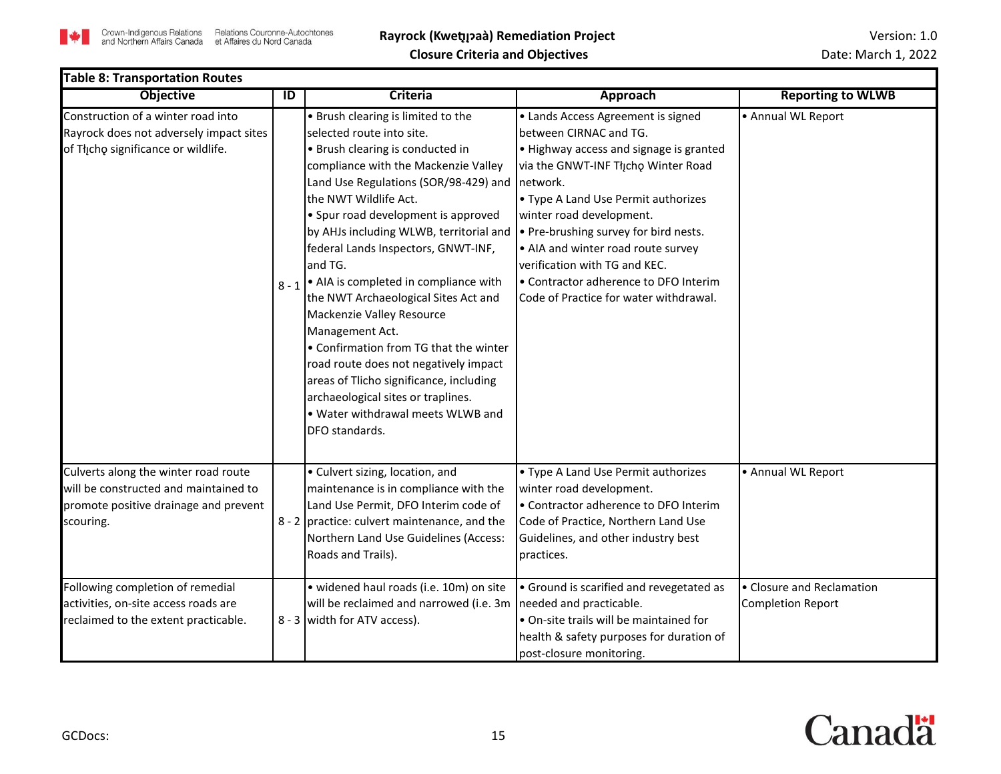

- 11

| <b>Table 8: Transportation Routes</b>                                                                                               |         |                                                                                                                                                                                                                                                                                                                                                                                                                                                                                                                                                                                                                                                                                                               |                                                                                                                                                                                                                                                                                                                                                                                                                                   |                                                       |  |  |  |
|-------------------------------------------------------------------------------------------------------------------------------------|---------|---------------------------------------------------------------------------------------------------------------------------------------------------------------------------------------------------------------------------------------------------------------------------------------------------------------------------------------------------------------------------------------------------------------------------------------------------------------------------------------------------------------------------------------------------------------------------------------------------------------------------------------------------------------------------------------------------------------|-----------------------------------------------------------------------------------------------------------------------------------------------------------------------------------------------------------------------------------------------------------------------------------------------------------------------------------------------------------------------------------------------------------------------------------|-------------------------------------------------------|--|--|--|
| <b>Objective</b>                                                                                                                    | ID      | Criteria                                                                                                                                                                                                                                                                                                                                                                                                                                                                                                                                                                                                                                                                                                      | <b>Approach</b>                                                                                                                                                                                                                                                                                                                                                                                                                   | <b>Reporting to WLWB</b>                              |  |  |  |
| Construction of a winter road into<br>Rayrock does not adversely impact sites<br>of Tłįcho significance or wildlife.                | $8 - 1$ | • Brush clearing is limited to the<br>selected route into site.<br>• Brush clearing is conducted in<br>compliance with the Mackenzie Valley<br>Land Use Regulations (SOR/98-429) and<br>the NWT Wildlife Act.<br>• Spur road development is approved<br>by AHJs including WLWB, territorial and<br>federal Lands Inspectors, GNWT-INF,<br>and TG.<br>• AIA is completed in compliance with<br>the NWT Archaeological Sites Act and<br>Mackenzie Valley Resource<br>Management Act.<br>• Confirmation from TG that the winter<br>road route does not negatively impact<br>areas of Tlicho significance, including<br>archaeological sites or traplines.<br>. Water withdrawal meets WLWB and<br>DFO standards. | • Lands Access Agreement is signed<br>between CIRNAC and TG.<br>. Highway access and signage is granted<br>via the GNWT-INF Tłįcho Winter Road<br>Inetwork.<br>• Type A Land Use Permit authorizes<br>winter road development.<br>• Pre-brushing survey for bird nests.<br>• AIA and winter road route survey<br>verification with TG and KEC.<br>• Contractor adherence to DFO Interim<br>Code of Practice for water withdrawal. | • Annual WL Report                                    |  |  |  |
| Culverts along the winter road route<br>will be constructed and maintained to<br>promote positive drainage and prevent<br>scouring. |         | • Culvert sizing, location, and<br>maintenance is in compliance with the<br>Land Use Permit, DFO Interim code of<br>8 - 2 practice: culvert maintenance, and the<br>Northern Land Use Guidelines (Access:<br>Roads and Trails).                                                                                                                                                                                                                                                                                                                                                                                                                                                                               | • Type A Land Use Permit authorizes<br>winter road development.<br>• Contractor adherence to DFO Interim<br>Code of Practice, Northern Land Use<br>Guidelines, and other industry best<br>practices.                                                                                                                                                                                                                              | • Annual WL Report                                    |  |  |  |
| Following completion of remedial<br>activities, on-site access roads are<br>reclaimed to the extent practicable.                    |         | · widened haul roads (i.e. 10m) on site<br>will be reclaimed and narrowed (i.e. 3m<br>8 - 3 width for ATV access).                                                                                                                                                                                                                                                                                                                                                                                                                                                                                                                                                                                            | • Ground is scarified and revegetated as<br>needed and practicable.<br>. On-site trails will be maintained for<br>health & safety purposes for duration of<br>post-closure monitoring.                                                                                                                                                                                                                                            | • Closure and Reclamation<br><b>Completion Report</b> |  |  |  |